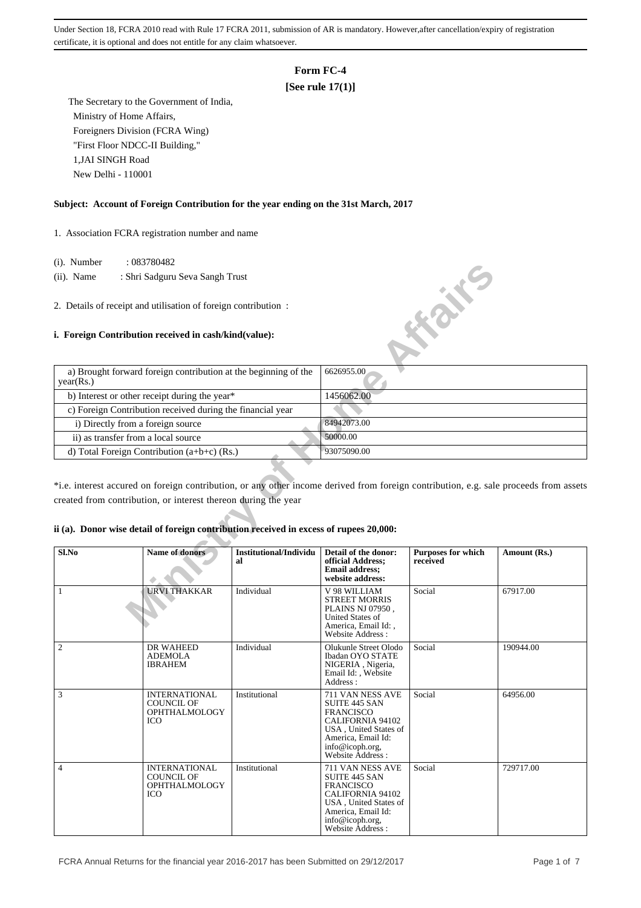# **Form FC-4**

## **[See rule 17(1)]**

 The Secretary to the Government of India, Ministry of Home Affairs, Foreigners Division (FCRA Wing) "First Floor NDCC-II Building," 1,JAI SINGH Road New Delhi - 110001

## **Subject: Account of Foreign Contribution for the year ending on the 31st March, 2017**

1. Association FCRA registration number and name

- (i). Number : 083780482
- (ii). Name : Shri Sadguru Seva Sangh Trust

## **i. Foreign Contribution received in cash/kind(value):**

| $(1)$ . Trumber | .003100402                                                                                                                                                                                              |                              |                                                                                                           |                                       |              |
|-----------------|---------------------------------------------------------------------------------------------------------------------------------------------------------------------------------------------------------|------------------------------|-----------------------------------------------------------------------------------------------------------|---------------------------------------|--------------|
| $(ii)$ . Name   | : Shri Sadguru Seva Sangh Trust                                                                                                                                                                         |                              |                                                                                                           |                                       |              |
|                 | 2. Details of receipt and utilisation of foreign contribution:<br>i. Foreign Contribution received in cash/kind(value):                                                                                 |                              |                                                                                                           | <b>HONE</b>                           |              |
|                 | a) Brought forward foreign contribution at the beginning of the                                                                                                                                         |                              | 6626955.00                                                                                                |                                       |              |
| year(Rs.)       |                                                                                                                                                                                                         |                              |                                                                                                           |                                       |              |
|                 | b) Interest or other receipt during the year*                                                                                                                                                           |                              | 1456062.00                                                                                                |                                       |              |
|                 | c) Foreign Contribution received during the financial year                                                                                                                                              |                              |                                                                                                           |                                       |              |
|                 | i) Directly from a foreign source                                                                                                                                                                       |                              | 84942073.00                                                                                               |                                       |              |
|                 | ii) as transfer from a local source                                                                                                                                                                     |                              | 50000.00                                                                                                  |                                       |              |
|                 | d) Total Foreign Contribution $(a+b+c)$ (Rs.)                                                                                                                                                           |                              | 93075090.00                                                                                               |                                       |              |
|                 | *i.e. interest accured on foreign contribution, or any other income derived from foreign contribution, e.g. sale proceeds from assets<br>created from contribution, or interest thereon during the year |                              |                                                                                                           |                                       |              |
|                 | ii (a). Donor wise detail of foreign contribution received in excess of rupees 20,000:                                                                                                                  |                              |                                                                                                           |                                       |              |
| Sl.No           | <b>Name of donors</b>                                                                                                                                                                                   | Institutional/Individu<br>al | Detail of the donor:<br>official Address;<br><b>Email address:</b><br>website address:                    | <b>Purposes for which</b><br>received | Amount (Rs.) |
| 1               | <b>URVI THAKKAR</b>                                                                                                                                                                                     | Individual                   | V 98 WILLIAM<br><b>STREET MORRIS</b><br>PLAINS NJ 07950,<br><b>United States of</b><br>America. Email Id: | Social                                | 67917.00     |

#### **ii (a). Donor wise detail of foreign contribution received in excess of rupees 20,000:**

| Sl.No          | Name of donors                                                                  | Institutional/Individu<br>al | Detail of the donor:<br>official Address;<br><b>Email address:</b><br>website address:                                                                                 | <b>Purposes for which</b><br>received | Amount (Rs.) |
|----------------|---------------------------------------------------------------------------------|------------------------------|------------------------------------------------------------------------------------------------------------------------------------------------------------------------|---------------------------------------|--------------|
| $\mathbf{1}$   | <b>URVI THAKKAR</b>                                                             | Individual                   | V 98 WILLIAM<br><b>STREET MORRIS</b><br>PLAINS NJ 07950,<br><b>United States of</b><br>America, Email Id:,<br>Website Address:                                         | Social                                | 67917.00     |
| $\overline{2}$ | DR WAHEED<br><b>ADEMOLA</b><br><b>IBRAHEM</b>                                   | Individual                   | Olukunle Street Olodo<br><b>Ibadan OYO STATE</b><br>NIGERIA, Nigeria,<br>Email Id:, Website<br>Address:                                                                | Social                                | 190944.00    |
| 3              | <b>INTERNATIONAL</b><br><b>COUNCIL OF</b><br><b>OPHTHALMOLOGY</b><br><b>ICO</b> | Institutional                | 711 VAN NESS AVE<br><b>SUITE 445 SAN</b><br><b>FRANCISCO</b><br>CALIFORNIA 94102<br>USA, United States of<br>America, Email Id:<br>info@icoph.org,<br>Website Address: | Social                                | 64956.00     |
| $\overline{4}$ | <b>INTERNATIONAL</b><br><b>COUNCIL OF</b><br><b>OPHTHALMOLOGY</b><br><b>ICO</b> | Institutional                | 711 VAN NESS AVE<br>SUITE 445 SAN<br><b>FRANCISCO</b><br><b>CALIFORNIA 94102</b><br>USA, United States of<br>America, Email Id:<br>info@icoph.org,<br>Website Address: | Social                                | 729717.00    |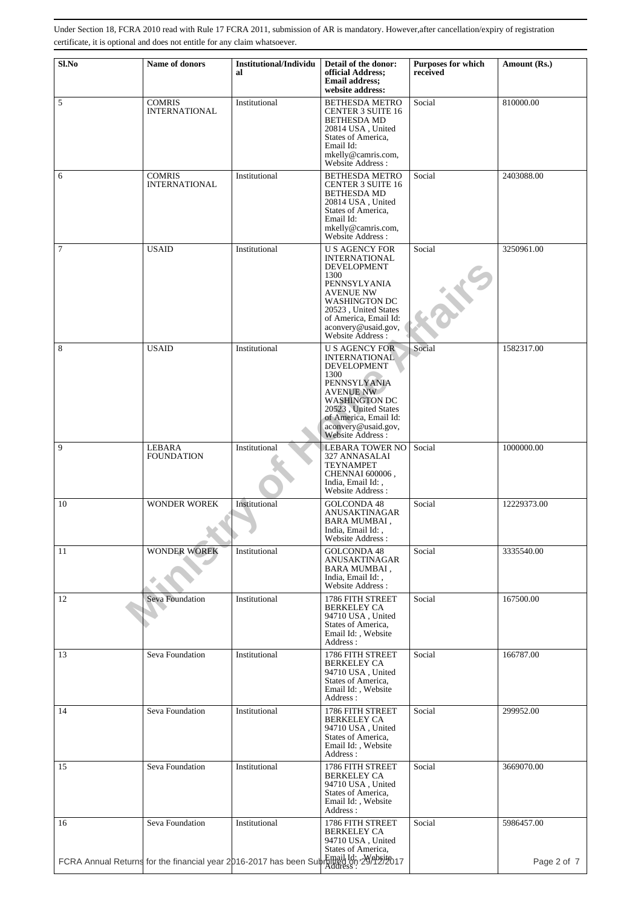| Sl.No          | Name of donors                                                                        | <b>Institutional/Individu</b><br>al | Detail of the donor:<br>official Address;<br><b>Email address:</b><br>website address:                                                                                                                                                     | <b>Purposes for which</b><br>received | Amount (Rs.) |
|----------------|---------------------------------------------------------------------------------------|-------------------------------------|--------------------------------------------------------------------------------------------------------------------------------------------------------------------------------------------------------------------------------------------|---------------------------------------|--------------|
| 5              | <b>COMRIS</b><br><b>INTERNATIONAL</b>                                                 | Institutional                       | <b>BETHESDA METRO</b><br><b>CENTER 3 SUITE 16</b><br><b>BETHESDA MD</b><br>20814 USA, United<br>States of America,<br>Email Id:<br>mkelly@camris.com,<br>Website Address:                                                                  | Social                                | 810000.00    |
| 6              | <b>COMRIS</b><br><b>INTERNATIONAL</b>                                                 | Institutional                       | <b>BETHESDA METRO</b><br><b>CENTER 3 SUITE 16</b><br><b>BETHESDA MD</b><br>20814 USA, United<br>States of America,<br>Email Id:<br>mkelly@camris.com,<br>Website Address :                                                                 | Social                                | 2403088.00   |
| $\overline{7}$ | <b>USAID</b>                                                                          | Institutional                       | <b>U S AGENCY FOR</b><br><b>INTERNATIONAL</b><br><b>DEVELOPMENT</b><br>1300<br>PENNSYLYANIA<br><b>AVENUE NW</b><br><b>WASHINGTON DC</b><br>20523, United States<br>of America, Email Id:<br>aconvery@usaid.gov,<br>Website Address:        | Social                                | 3250961.00   |
| 8              | <b>USAID</b>                                                                          | Institutional                       | <b>U S AGENCY FOR</b><br><b>INTERNATIONAL</b><br><b>DEVELOPMENT</b><br>1300<br><b>PENNSYLYANIA</b><br><b>AVENUE NW</b><br><b>WASHINGTON DC</b><br>20523, United States<br>of America, Email Id:<br>aconvery@usaid.gov,<br>Website Address: | Social                                | 1582317.00   |
| 9              | LEBARA<br><b>FOUNDATION</b>                                                           | Institutional                       | LEBARA TOWER NO<br>327 ANNASALAI<br><b>TEYNAMPET</b><br>CHENNAI 600006,<br>India, Email Id:,<br>Website Address:                                                                                                                           | Social                                | 1000000.00   |
| 10             | <b>WONDER WOREK</b>                                                                   | Institutional                       | <b>GOLCONDA 48</b><br>ANUSAKTINAGAR<br>BARA MUMBAI,<br>India, Email Id:,<br>Website Address:                                                                                                                                               | Social                                | 12229373.00  |
| 11             | <b>WONDER WOREK</b>                                                                   | Institutional                       | GOLCONDA 48<br>ANUSAKTINAGAR<br>BARA MUMBAI,<br>India, Email Id:,<br>Website Address:                                                                                                                                                      | Social                                | 3335540.00   |
| 12             | Seva Foundation                                                                       | Institutional                       | 1786 FITH STREET<br><b>BERKELEY CA</b><br>94710 USA, United<br>States of America,<br>Email Id:, Website<br>Address:                                                                                                                        | Social                                | 167500.00    |
| 13             | Seva Foundation                                                                       | Institutional                       | 1786 FITH STREET<br><b>BERKELEY CA</b><br>94710 USA, United<br>States of America,<br>Email Id:, Website<br>Address:                                                                                                                        | Social                                | 166787.00    |
| 14             | Seva Foundation                                                                       | Institutional                       | 1786 FITH STREET<br><b>BERKELEY CA</b><br>94710 USA, United<br>States of America,<br>Email Id:, Website<br>Address:                                                                                                                        | Social                                | 299952.00    |
| 15             | Seva Foundation                                                                       | Institutional                       | 1786 FITH STREET<br><b>BERKELEY CA</b><br>94710 USA, United<br>States of America,<br>Email Id:, Website<br>Address:                                                                                                                        | Social                                | 3669070.00   |
| 16             | Seva Foundation                                                                       | Institutional                       | 1786 FITH STREET<br><b>BERKELEY CA</b><br>94710 USA, United<br>States of America,                                                                                                                                                          | Social                                | 5986457.00   |
|                | FCRA Annual Returns for the financial year 2016-2017 has been Subrinien on 29/12/2017 |                                     |                                                                                                                                                                                                                                            |                                       | Page 2 of 7  |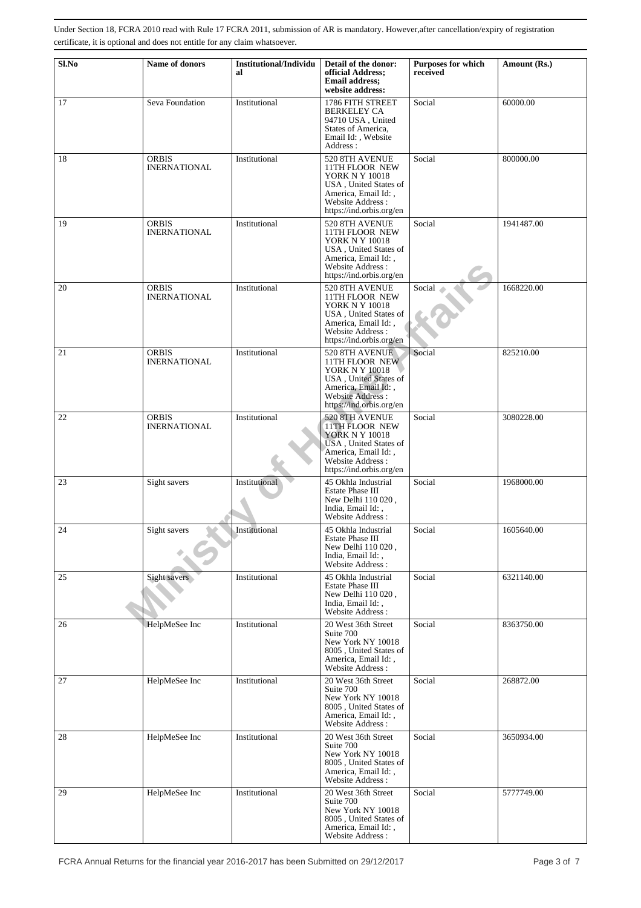| Sl.No | Name of donors                      | <b>Institutional/Individu</b><br>al | Detail of the donor:<br>official Address;<br><b>Email address:</b><br>website address:                                                                           | <b>Purposes for which</b><br>received | Amount (Rs.) |
|-------|-------------------------------------|-------------------------------------|------------------------------------------------------------------------------------------------------------------------------------------------------------------|---------------------------------------|--------------|
| 17    | Seva Foundation                     | Institutional                       | 1786 FITH STREET<br><b>BERKELEY CA</b><br>94710 USA, United<br>States of America.<br>Email Id:, Website<br>Address:                                              | Social                                | 60000.00     |
| 18    | <b>ORBIS</b><br><b>INERNATIONAL</b> | Institutional                       | 520 8TH AVENUE<br>11TH FLOOR NEW<br><b>YORK N Y 10018</b><br>USA, United States of<br>America, Email Id:,<br>Website Address:<br>https://ind.orbis.org/en        | Social                                | 800000.00    |
| 19    | <b>ORBIS</b><br><b>INERNATIONAL</b> | Institutional                       | 520 8TH AVENUE<br>11TH FLOOR NEW<br><b>YORK N Y 10018</b><br>USA, United States of<br>America, Email Id:,<br>Website Address:<br>https://ind.orbis.org/en        | Social                                | 1941487.00   |
| 20    | <b>ORBIS</b><br><b>INERNATIONAL</b> | Institutional                       | 520 8TH AVENUE<br>11TH FLOOR NEW<br><b>YORK N Y 10018</b><br>USA, United States of<br>America, Email Id:,<br>Website Address:<br>https://ind.orbis.org/en        | Social                                | 1668220.00   |
| 21    | <b>ORBIS</b><br><b>INERNATIONAL</b> | Institutional                       | 520 8TH AVENUE<br>11TH FLOOR NEW<br>YORK N Y 10018<br>USA, United States of<br>America, Email Id:,<br><b>Website Address:</b><br>https://ind.orbis.org/en        | Social                                | 825210.00    |
| 22    | <b>ORBIS</b><br><b>INERNATIONAL</b> | Institutional                       | 520 8TH AVENUE<br><b>11TH FLOOR NEW</b><br><b>YORK N Y 10018</b><br>USA, United States of<br>America, Email Id:,<br>Website Address:<br>https://ind.orbis.org/en | Social                                | 3080228.00   |
| 23    | Sight savers                        | Institutional                       | 45 Okhla Industrial<br><b>Estate Phase III</b><br>New Delhi 110 020,<br>India, Email Id:,<br>Website Address:                                                    | Social                                | 1968000.00   |
| 24    | Sight savers                        | Institutional                       | 45 Okhla Industrial<br>Estate Phase III<br>New Delhi 110 020,<br>India. Email Id: .<br>Website Address:                                                          | Social                                | 1605640.00   |
| 25    | Sight savers                        | Institutional                       | 45 Okhla Industrial<br><b>Estate Phase III</b><br>New Delhi 110 020,<br>India, Email Id:,<br>Website Address:                                                    | Social                                | 6321140.00   |
| 26    | HelpMeSee Inc                       | Institutional                       | 20 West 36th Street<br>Suite 700<br>New York NY 10018<br>8005, United States of<br>America, Email Id:,<br>Website Address:                                       | Social                                | 8363750.00   |
| 27    | HelpMeSee Inc                       | Institutional                       | 20 West 36th Street<br>Suite 700<br>New York NY 10018<br>8005, United States of<br>America, Email Id:,<br>Website Address:                                       | Social                                | 268872.00    |
| 28    | HelpMeSee Inc                       | Institutional                       | 20 West 36th Street<br>Suite 700<br>New York NY 10018<br>8005, United States of<br>America, Email Id:,<br>Website Address:                                       | Social                                | 3650934.00   |
| 29    | HelpMeSee Inc                       | Institutional                       | 20 West 36th Street<br>Suite 700<br>New York NY 10018<br>8005, United States of<br>America, Email Id:,<br>Website Address:                                       | Social                                | 5777749.00   |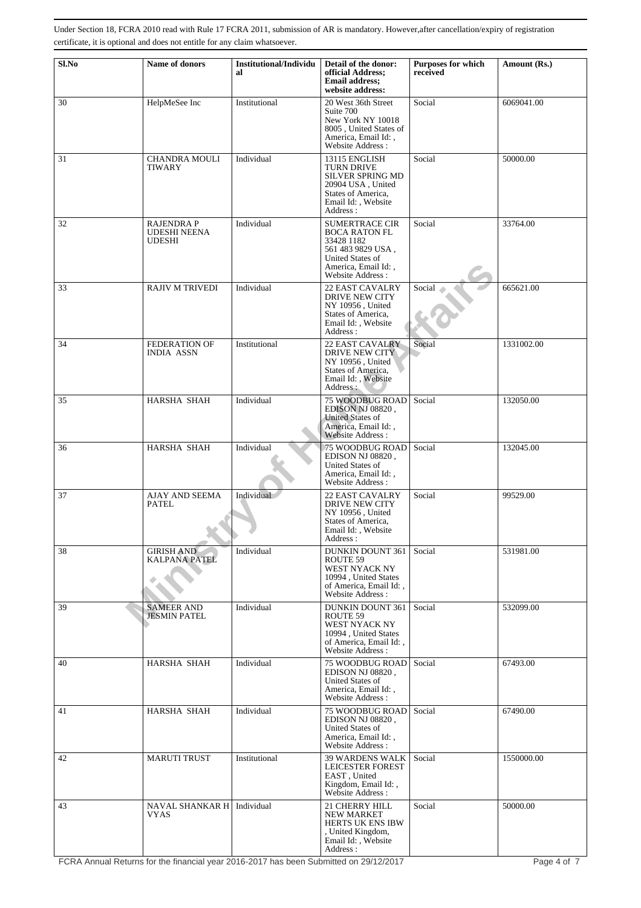| Sl.No | Name of donors                                     | <b>Institutional/Individu</b><br>al | Detail of the donor:<br>official Address;<br><b>Email address:</b><br>website address:                                                          | <b>Purposes for which</b><br>received | Amount (Rs.) |
|-------|----------------------------------------------------|-------------------------------------|-------------------------------------------------------------------------------------------------------------------------------------------------|---------------------------------------|--------------|
| 30    | HelpMeSee Inc                                      | Institutional                       | 20 West 36th Street<br>Suite 700<br>New York NY 10018<br>8005, United States of<br>America, Email Id:,<br>Website Address:                      | Social                                | 6069041.00   |
| 31    | <b>CHANDRA MOULI</b><br>TIWARY                     | Individual                          | 13115 ENGLISH<br>TURN DRIVE<br><b>SILVER SPRING MD</b><br>20904 USA, United<br>States of America,<br>Email Id: . Website<br>Address:            | Social                                | 50000.00     |
| 32    | RAJENDRA P<br><b>UDESHI NEENA</b><br><b>UDESHI</b> | Individual                          | <b>SUMERTRACE CIR</b><br><b>BOCA RATON FL</b><br>33428 1182<br>561 483 9829 USA,<br>United States of<br>America, Email Id:,<br>Website Address: | Social                                | 33764.00     |
| 33    | <b>RAJIV M TRIVEDI</b>                             | Individual                          | <b>22 EAST CAVALRY</b><br><b>DRIVE NEW CITY</b><br>NY 10956, United<br>States of America,<br>Email Id:, Website<br>Address:                     | Social                                | 665621.00    |
| 34    | <b>FEDERATION OF</b><br><b>INDIA ASSN</b>          | Institutional                       | <b>22 EAST CAVALRY</b><br><b>DRIVE NEW CITY</b><br>NY 10956, United<br>States of America,<br>Email Id:, Website<br>Address :                    | Social                                | 1331002.00   |
| 35    | HARSHA SHAH                                        | Individual                          | <b>75 WOODBUG ROAD</b><br>EDISON NJ 08820,<br><b>United States of</b><br>America, Email Id:,<br>Website Address:                                | Social                                | 132050.00    |
| 36    | HARSHA SHAH                                        | Individual                          | 75 WOODBUG ROAD<br>EDISON NJ 08820,<br>United States of<br>America, Email Id:,<br>Website Address :                                             | Social                                | 132045.00    |
| 37    | <b>AJAY AND SEEMA</b><br>PATEL                     | Individual                          | <b>22 EAST CAVALRY</b><br><b>DRIVE NEW CITY</b><br>NY 10956, United<br>States of America,<br>Email Id:, Website<br>Address :                    | Social                                | 99529.00     |
| 38    | <b>GIRISH AND</b><br><b>KALPANA PATEL</b>          | Individual                          | <b>DUNKIN DOUNT 361</b><br>ROUTE 59<br>WEST NYACK NY<br>10994, United States<br>of America, Email Id:,<br>Website Address:                      | Social                                | 531981.00    |
| 39    | <b>SAMEER AND</b><br><b>JESMIN PATEL</b>           | Individual                          | <b>DUNKIN DOUNT 361</b><br>ROUTE 59<br>WEST NYACK NY<br>10994, United States<br>of America, Email Id:,<br>Website Address:                      | Social                                | 532099.00    |
| 40    | <b>HARSHA SHAH</b>                                 | Individual                          | <b>75 WOODBUG ROAD</b><br>EDISON NJ 08820,<br>United States of<br>America, Email Id:,<br>Website Address:                                       | Social                                | 67493.00     |
| 41    | HARSHA SHAH                                        | Individual                          | <b>75 WOODBUG ROAD</b><br>EDISON NJ 08820,<br>United States of<br>America, Email Id:,<br>Website Address:                                       | Social                                | 67490.00     |
| 42    | <b>MARUTI TRUST</b>                                | Institutional                       | <b>39 WARDENS WALK</b><br>LEICESTER FOREST<br>EAST, United<br>Kingdom, Email Id:,<br>Website Address:                                           | Social                                | 1550000.00   |
| 43    | NAVAL SHANKAR H <br>VYAS                           | Individual                          | 21 CHERRY HILL<br><b>NEW MARKET</b><br>HERTS UK ENS IBW<br>, United Kingdom,<br>Email Id:, Website<br>Address:                                  | Social                                | 50000.00     |

FCRA Annual Returns for the financial year 2016-2017 has been Submitted on 29/12/2017 Page 4 of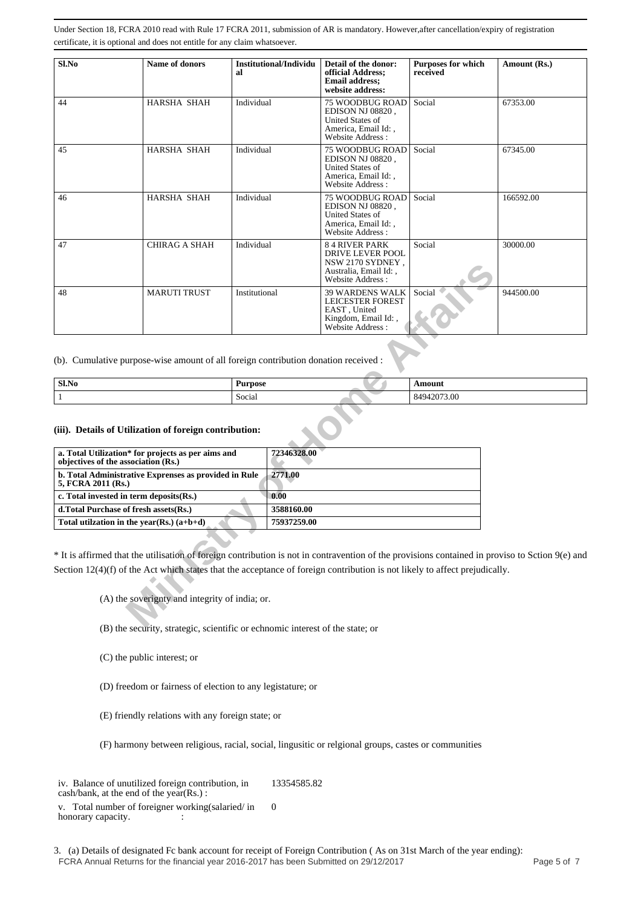| Sl.No | Name of donors      | Institutional/Individu<br>al | Detail of the donor:<br>official Address;<br><b>Email address;</b><br>website address:                            | <b>Purposes for which</b><br>received | Amount (Rs.) |
|-------|---------------------|------------------------------|-------------------------------------------------------------------------------------------------------------------|---------------------------------------|--------------|
| 44    | HARSHA SHAH         | Individual                   | <b>75 WOODBUG ROAD</b><br>EDISON NJ 08820.<br>United States of<br>America, Email Id:,<br>Website Address:         | Social                                | 67353.00     |
| 45    | HARSHA SHAH         | Individual                   | <b>75 WOODBUG ROAD</b><br>EDISON NJ 08820.<br><b>United States of</b><br>America, Email Id: .<br>Website Address: | Social                                | 67345.00     |
| 46    | <b>HARSHA SHAH</b>  | Individual                   | 75 WOODBUG ROAD<br>EDISON NJ 08820.<br><b>United States of</b><br>America, Email Id:,<br>Website Address:         | Social                                | 166592.00    |
| 47    | CHIRAG A SHAH       | Individual                   | <b>84 RIVER PARK</b><br><b>DRIVE LEVER POOL</b><br>NSW 2170 SYDNEY,<br>Australia, Email Id:,<br>Website Address:  | Social                                | 30000.00     |
| 48    | <b>MARUTI TRUST</b> | Institutional                | <b>39 WARDENS WALK</b><br><b>LEICESTER FOREST</b><br>EAST, United<br>Kingdom, Email Id:,<br>Website Address:      | Social                                | 944500.00    |

| Sl.No | $\sim$<br>Purpose           | Amoun            |
|-------|-----------------------------|------------------|
|       | $\sim$<br>$\cdot$<br>Social | 42073.00<br>8494 |

#### **(iii). Details of Utilization of foreign contribution:**

|                    |                                                                                                                                                                                                                                                                                                           |                |                                | $INJW 2110J1LINELI$ ,<br>Australia, Email Id:,<br>Website Address:                                    |               |  |
|--------------------|-----------------------------------------------------------------------------------------------------------------------------------------------------------------------------------------------------------------------------------------------------------------------------------------------------------|----------------|--------------------------------|-------------------------------------------------------------------------------------------------------|---------------|--|
| 48                 | <b>MARUTI TRUST</b>                                                                                                                                                                                                                                                                                       | Institutional  |                                | 39 WARDENS WALK<br><b>LEICESTER FOREST</b><br>EAST, United<br>Kingdom, Email Id:,<br>Website Address: | Social        |  |
|                    | (b). Cumulative purpose-wise amount of all foreign contribution donation received :                                                                                                                                                                                                                       |                |                                |                                                                                                       |               |  |
| Sl.No              |                                                                                                                                                                                                                                                                                                           | <b>Purpose</b> |                                |                                                                                                       | <b>Amount</b> |  |
| $\mathbf{1}$       |                                                                                                                                                                                                                                                                                                           | Social         |                                |                                                                                                       | 84942073.00   |  |
| 5, FCRA 2011 (Rs.) | a. Total Utilization* for projects as per aims and<br>objectives of the association (Rs.)<br>b. Total Administrative Exprenses as provided in Rule<br>c. Total invested in term deposits(Rs.)                                                                                                             |                | 72346328.00<br>2771.00<br>0.00 |                                                                                                       |               |  |
|                    | d.Total Purchase of fresh assets(Rs.)                                                                                                                                                                                                                                                                     |                | 3588160.00                     |                                                                                                       |               |  |
|                    | Total utilization in the year(Rs.) $(a+b+d)$                                                                                                                                                                                                                                                              |                | 75937259.00                    |                                                                                                       |               |  |
|                    | * It is affirmed that the utilisation of foreign contribution is not in contravention of the provisions contained in prov<br>Section $12(4)(f)$ of the Act which states that the acceptance of foreign contribution is not likely to affect prejudicall<br>(A) the soverignty and integrity of india; or. |                |                                |                                                                                                       |               |  |
|                    | $(D)$ the computer strategic covertific or cohnomic interest of the states or                                                                                                                                                                                                                             |                |                                |                                                                                                       |               |  |

\* It is affirmed that the utilisation of foreign contribution is not in contravention of the provisions contained in proviso to Sction 9(e) and Section 12(4)(f) of the Act which states that the acceptance of foreign contribution is not likely to affect prejudically.

- (B) the security, strategic, scientific or echnomic interest of the state; or
- (C) the public interest; or
- (D) freedom or fairness of election to any legistature; or
- (E) friendly relations with any foreign state; or
- (F) harmony between religious, racial, social, lingusitic or relgional groups, castes or communities

iv. Balance of unutilized foreign contribution, in cash/bank, at the end of the year(Rs.) : 13354585.82

v. Total number of foreigner working(salaried/ in honorary capacity.  $\qquad \qquad$  : 0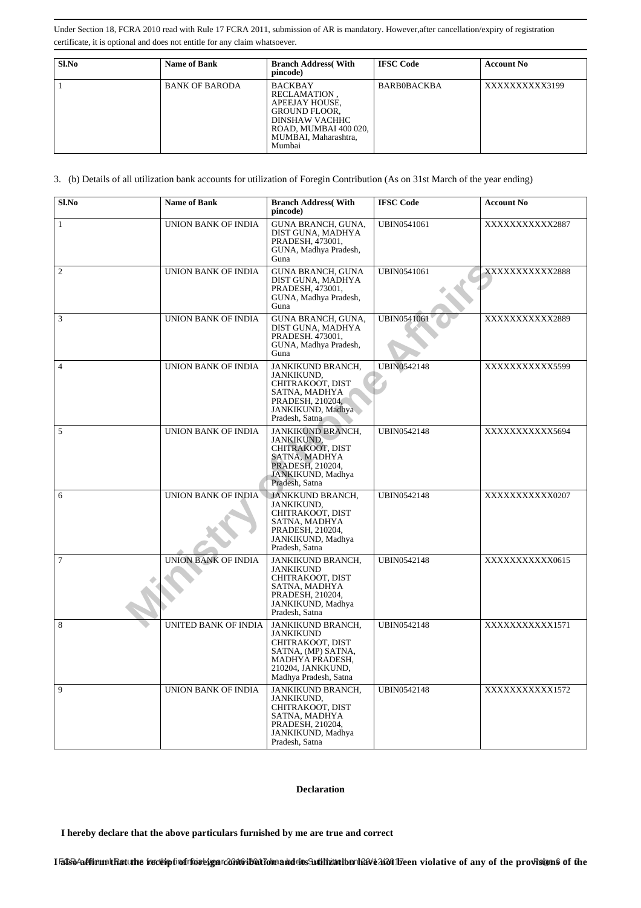| Sl.No | <b>Name of Bank</b>   | <b>Branch Address</b> (With<br>pincode)                                                                                                               | <b>IFSC Code</b>   | <b>Account No</b> |
|-------|-----------------------|-------------------------------------------------------------------------------------------------------------------------------------------------------|--------------------|-------------------|
|       | <b>BANK OF BARODA</b> | <b>BACKBAY</b><br>RECLAMATION.<br>APEEJAY HOUSE,<br><b>GROUND FLOOR.</b><br>DINSHAW VACHHC<br>ROAD, MUMBAI 400 020,<br>MUMBAI, Maharashtra,<br>Mumbai | <b>BARB0BACKBA</b> | XXXXXXXXXX3199    |

3. (b) Details of all utilization bank accounts for utilization of Foregin Contribution (As on 31st March of the year ending)

| Sl.No          | <b>Name of Bank</b>        | <b>Branch Address</b> (With<br>pincode)                                                                                                          | <b>IFSC Code</b>   | <b>Account No</b> |
|----------------|----------------------------|--------------------------------------------------------------------------------------------------------------------------------------------------|--------------------|-------------------|
| $\mathbf{1}$   | <b>UNION BANK OF INDIA</b> | GUNA BRANCH, GUNA,<br>DIST GUNA, MADHYA<br>PRADESH, 473001,<br>GUNA, Madhya Pradesh,<br>Guna                                                     | <b>UBIN0541061</b> | XXXXXXXXXXX2887   |
| $\overline{2}$ | UNION BANK OF INDIA        | <b>GUNA BRANCH, GUNA</b><br>DIST GUNA, MADHYA<br>PRADESH, 473001,<br>GUNA, Madhya Pradesh,<br>Guna                                               | <b>UBIN0541061</b> | XXXXXXXXXXX2888   |
| 3              | UNION BANK OF INDIA        | GUNA BRANCH, GUNA,<br>DIST GUNA, MADHYA<br>PRADESH. 473001,<br>GUNA, Madhya Pradesh,<br>Guna                                                     | <b>UBIN0541061</b> | XXXXXXXXXXX2889   |
| $\overline{4}$ | UNION BANK OF INDIA        | JANKIKUND BRANCH,<br><b>JANKIKUND.</b><br>CHITRAKOOT, DIST<br>SATNA, MADHYA<br>PRADESH, 210204.<br>JANKIKUND, Madhya<br>Pradesh, Satna           | <b>UBIN0542148</b> | XXXXXXXXXXX5599   |
| 5              | UNION BANK OF INDIA        | JANKIKUND BRANCH,<br>JANKIKUND,<br>CHITRAKOOT, DIST<br>SATNA, MADHYA<br>PRADESH, 210204,<br>JANKIKUND, Madhya<br>Pradesh, Satna                  | <b>UBIN0542148</b> | XXXXXXXXXXX5694   |
| 6              | UNION BANK OF INDIA        | JANKKUND BRANCH,<br>JANKIKUND,<br>CHITRAKOOT, DIST<br>SATNA, MADHYA<br>PRADESH, 210204,<br>JANKIKUND, Madhya<br>Pradesh, Satna                   | <b>UBIN0542148</b> | XXXXXXXXXXX0207   |
| $\overline{7}$ | UNION BANK OF INDIA        | JANKIKUND BRANCH,<br><b>JANKIKUND</b><br>CHITRAKOOT, DIST<br>SATNA, MADHYA<br>PRADESH, 210204,<br>JANKIKUND, Madhya<br>Pradesh, Satna            | <b>UBIN0542148</b> | XXXXXXXXXXX0615   |
| 8              | UNITED BANK OF INDIA       | JANKIKUND BRANCH,<br><b>JANKIKUND</b><br>CHITRAKOOT, DIST<br>SATNA, (MP) SATNA,<br>MADHYA PRADESH,<br>210204, JANKKUND,<br>Madhya Pradesh, Satna | UBIN0542148        | XXXXXXXXXX1571    |
| 9              | UNION BANK OF INDIA        | JANKIKUND BRANCH,<br>JANKIKUND,<br>CHITRAKOOT, DIST<br>SATNA, MADHYA<br>PRADESH, 210204,<br>JANKIKUND, Madhya<br>Pradesh, Satna                  | <b>UBIN0542148</b> | XXXXXXXXXXX1572   |

#### **Declaration**

 **I hereby declare that the above particulars furnished by me are true and correct**